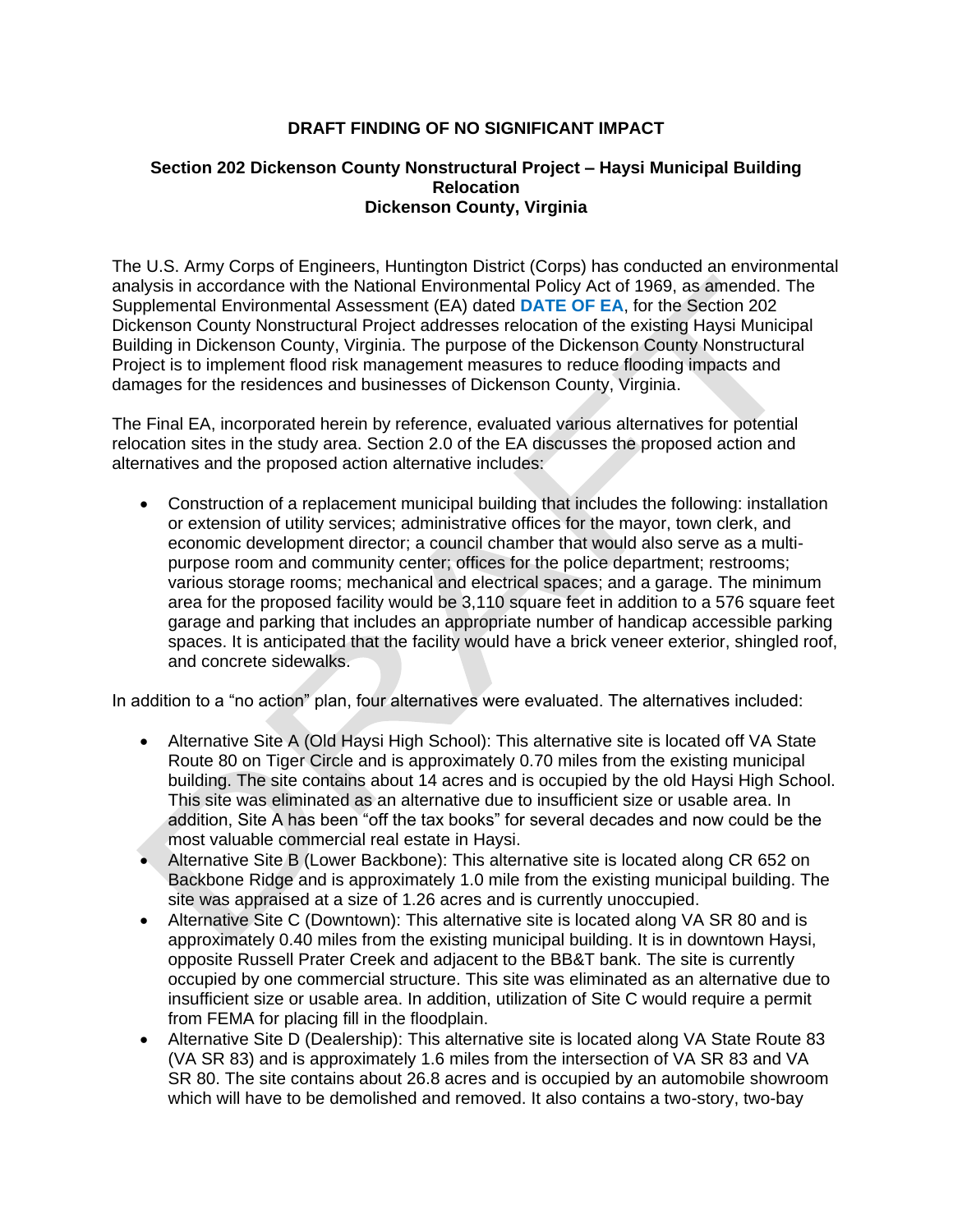## **DRAFT FINDING OF NO SIGNIFICANT IMPACT**

## **Section 202 Dickenson County Nonstructural Project – Haysi Municipal Building Relocation Dickenson County, Virginia**

 Dickenson County Nonstructural Project addresses relocation of the existing Haysi Municipal Building in Dickenson County, Virginia. The purpose of the Dickenson County Nonstructural Project is to implement flood risk management measures to reduce flooding impacts and The U.S. Army Corps of Engineers, Huntington District (Corps) has conducted an environmental analysis in accordance with the National Environmental Policy Act of 1969, as amended. The Supplemental Environmental Assessment (EA) dated **DATE OF EA**, for the Section 202 damages for the residences and businesses of Dickenson County, Virginia.

 The Final EA, incorporated herein by reference, evaluated various alternatives for potential relocation sites in the study area. Section 2.0 of the EA discusses the proposed action and alternatives and the proposed action alternative includes:

 Construction of a replacement municipal building that includes the following: installation or extension of utility services; administrative offices for the mayor, town clerk, and economic development director; a council chamber that would also serve as a multipurpose room and community center; offices for the police department; restrooms; various storage rooms; mechanical and electrical spaces; and a garage. The minimum area for the proposed facility would be 3,110 square feet in addition to a 576 square feet garage and parking that includes an appropriate number of handicap accessible parking spaces. It is anticipated that the facility would have a brick veneer exterior, shingled roof, and concrete sidewalks.

In addition to a "no action" plan, four alternatives were evaluated. The alternatives included:

- Alternative Site A (Old Haysi High School): This alternative site is located off VA State Route 80 on Tiger Circle and is approximately 0.70 miles from the existing municipal building. The site contains about 14 acres and is occupied by the old Haysi High School. This site was eliminated as an alternative due to insufficient size or usable area. In addition, Site A has been "off the tax books" for several decades and now could be the most valuable commercial real estate in Haysi.
- Backbone Ridge and is approximately 1.0 mile from the existing municipal building. The Alternative Site B (Lower Backbone): This alternative site is located along CR 652 on site was appraised at a size of 1.26 acres and is currently unoccupied.
- Alternative Site C (Downtown): This alternative site is located along VA SR 80 and is approximately 0.40 miles from the existing municipal building. It is in downtown Haysi, opposite Russell Prater Creek and adjacent to the BB&T bank. The site is currently occupied by one commercial structure. This site was eliminated as an alternative due to insufficient size or usable area. In addition, utilization of Site C would require a permit from FEMA for placing fill in the floodplain.
- Alternative Site D (Dealership): This alternative site is located along VA State Route 83 (VA SR 83) and is approximately 1.6 miles from the intersection of VA SR 83 and VA SR 80. The site contains about 26.8 acres and is occupied by an automobile showroom which will have to be demolished and removed. It also contains a two-story, two-bay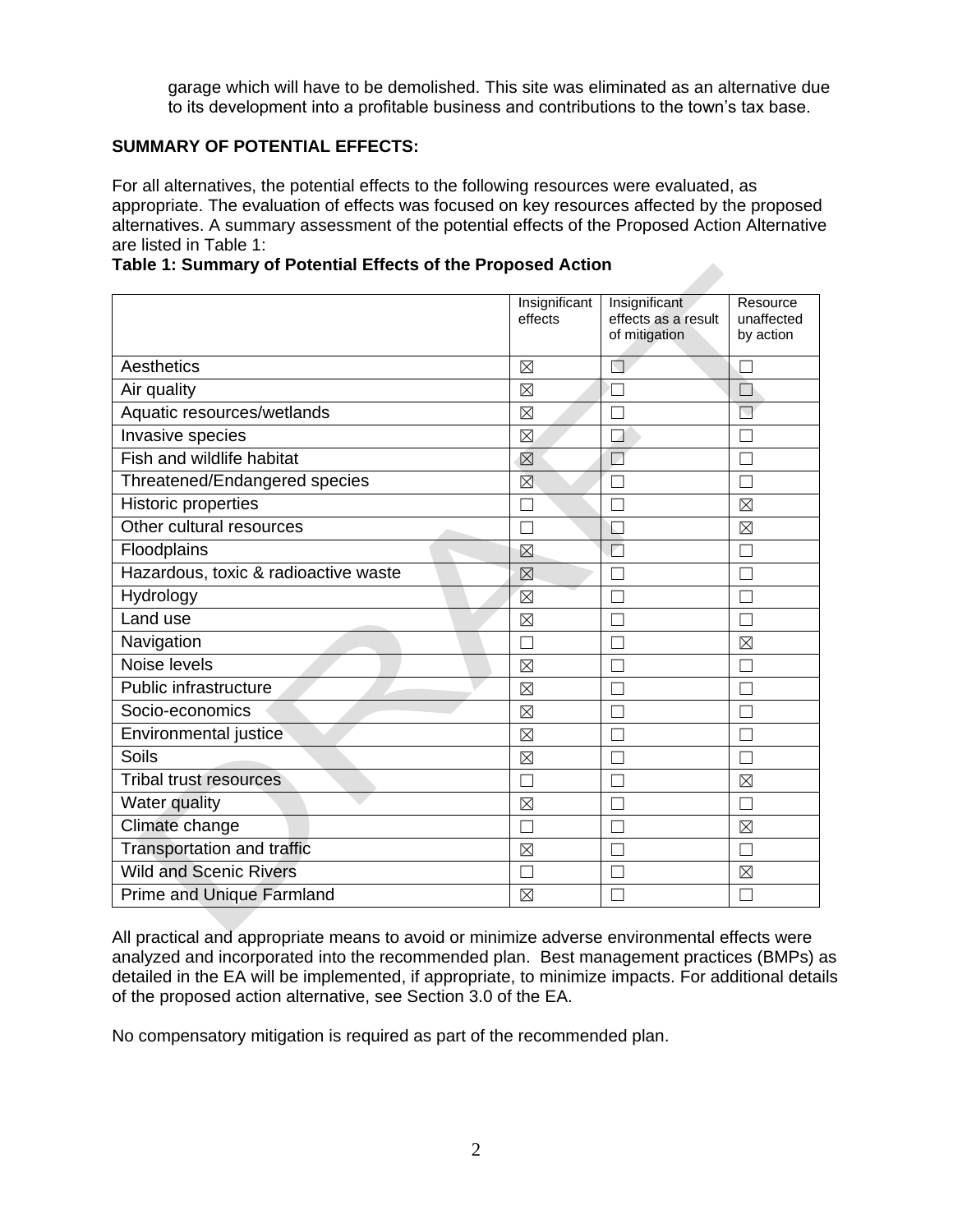garage which will have to be demolished. This site was eliminated as an alternative due to its development into a profitable business and contributions to the town's tax base.

## **SUMMARY OF POTENTIAL EFFECTS:**

For all alternatives, the potential effects to the following resources were evaluated, as appropriate. The evaluation of effects was focused on key resources affected by the proposed alternatives. A summary assessment of the potential effects of the Proposed Action Alternative are listed in Table 1:

**Table 1: Summary of Potential Effects of the Proposed Action** 

|                                      | Insignificant<br>effects | Insignificant<br>effects as a result<br>of mitigation | Resource<br>unaffected<br>by action |
|--------------------------------------|--------------------------|-------------------------------------------------------|-------------------------------------|
| Aesthetics                           | ⊠                        | П                                                     |                                     |
| Air quality                          | $\boxtimes$              |                                                       |                                     |
| Aquatic resources/wetlands           | $\boxtimes$              |                                                       | $\Box$                              |
| Invasive species                     | $\boxtimes$              | A                                                     | $\mathbf{L}$                        |
| <b>Fish and wildlife habitat</b>     | $\boxtimes$              | Z                                                     |                                     |
| Threatened/Endangered species        | ⊠                        |                                                       |                                     |
| <b>Historic properties</b>           | Ξ                        |                                                       | $\boxtimes$                         |
| Other cultural resources             |                          | ÷.                                                    | $\boxtimes$                         |
| Floodplains                          | $\boxtimes$              |                                                       |                                     |
| Hazardous, toxic & radioactive waste | $\boxtimes$              |                                                       |                                     |
| Hydrology                            | $\boxtimes$              |                                                       |                                     |
| Land use                             | $\boxtimes$              |                                                       |                                     |
| Navigation                           | ×                        |                                                       | $\boxtimes$                         |
| Noise levels                         | $\boxtimes$              |                                                       | $\Box$                              |
| Public infrastructure                | $\boxtimes$              |                                                       |                                     |
| Socio-economics                      | $\boxtimes$              |                                                       |                                     |
| Environmental justice                | $\boxtimes$              |                                                       |                                     |
| Soils                                | $\boxtimes$              |                                                       |                                     |
| <b>Tribal trust resources</b>        | ×                        |                                                       | $\boxtimes$                         |
| Water quality                        | $\boxtimes$              |                                                       |                                     |
| Climate change                       | ٦                        |                                                       | $\boxtimes$                         |
| Transportation and traffic           | $\boxtimes$              |                                                       |                                     |
| <b>Wild and Scenic Rivers</b>        | ┐                        | Т                                                     | $\boxtimes$                         |
| Prime and Unique Farmland            | $\boxtimes$              |                                                       |                                     |

 analyzed and incorporated into the recommended plan. Best management practices (BMPs) as detailed in the EA will be implemented, if appropriate, to minimize impacts. For additional details of the proposed action alternative, see Section 3.0 of the EA.

No compensatory mitigation is required as part of the recommended plan.